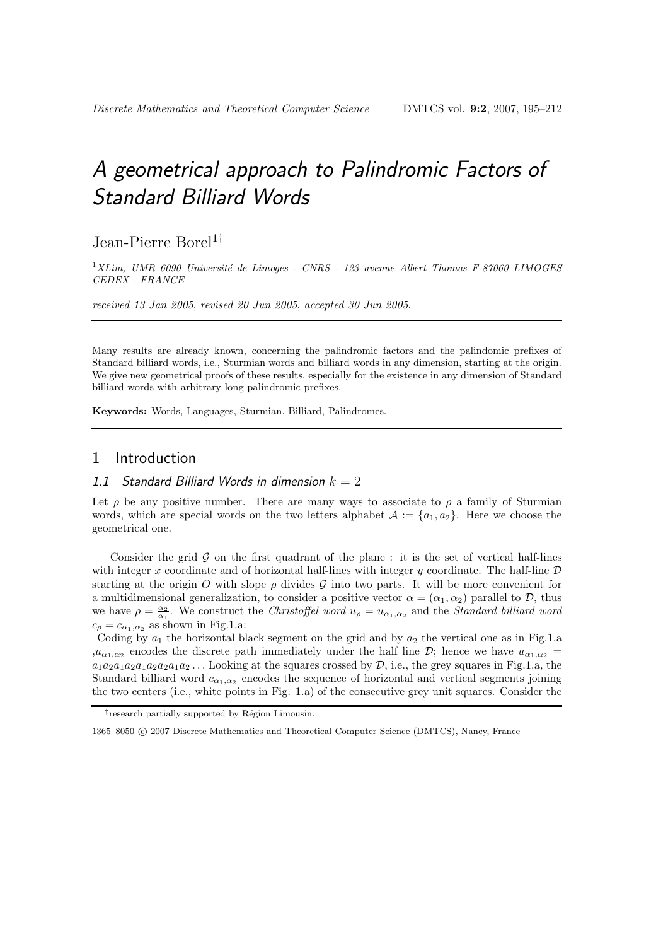# *A geometrical approach to Palindromic Factors of Standard Billiard Words*

Jean-Pierre Borel<sup>1†</sup>

<sup>1</sup>*XLim, UMR 6090 Universit´e de Limoges - CNRS - 123 avenue Albert Thomas F-87060 LIMOGES CEDEX - FRANCE*

*received 13 Jan 2005*, *revised 20 Jun 2005*, *accepted 30 Jun 2005*.

Many results are already known, concerning the palindromic factors and the palindomic prefixes of Standard billiard words, i.e., Sturmian words and billiard words in any dimension, starting at the origin. We give new geometrical proofs of these results, especially for the existence in any dimension of Standard billiard words with arbitrary long palindromic prefixes.

**Keywords:** Words, Languages, Sturmian, Billiard, Palindromes.

# 1 Introduction

## *1.1 Standard Billiard Words in dimension k* = 2

Let  $\rho$  be any positive number. There are many ways to associate to  $\rho$  a family of Sturmian words, which are special words on the two letters alphabet  $\mathcal{A} := \{a_1, a_2\}$ . Here we choose the geometrical one.

Consider the grid  $\mathcal G$  on the first quadrant of the plane : it is the set of vertical half-lines with integer x coordinate and of horizontal half-lines with integer y coordinate. The half-line  $D$ starting at the origin O with slope  $\rho$  divides G into two parts. It will be more convenient for a multidimensional generalization, to consider a positive vector  $\alpha = (\alpha_1, \alpha_2)$  parallel to  $\mathcal{D}$ , thus we have  $\rho = \frac{\alpha_2}{\alpha_1}$ . We construct the *Christoffel word*  $u_{\rho} = u_{\alpha_1,\alpha_2}$  and the *Standard billiard word*  $c_{\rho} = c_{\alpha_1,\alpha_2}$  as shown in Fig.1.a:

Coding by  $a_1$  the horizontal black segment on the grid and by  $a_2$  the vertical one as in Fig.1.a  $,u_{\alpha_1,\alpha_2}$  encodes the discrete path immediately under the half line D; hence we have  $u_{\alpha_1,\alpha_2}$  $a_1a_2a_1a_2a_1a_2a_1a_2\dots$  Looking at the squares crossed by  $D$ , i.e., the grey squares in Fig.1.a, the Standard billiard word  $c_{\alpha_1,\alpha_2}$  encodes the sequence of horizontal and vertical segments joining the two centers (i.e., white points in Fig. 1.a) of the consecutive grey unit squares. Consider the

<sup>&</sup>lt;sup>†</sup>research partially supported by Région Limousin.

<sup>1365–8050 © 2007</sup> Discrete Mathematics and Theoretical Computer Science (DMTCS), Nancy, France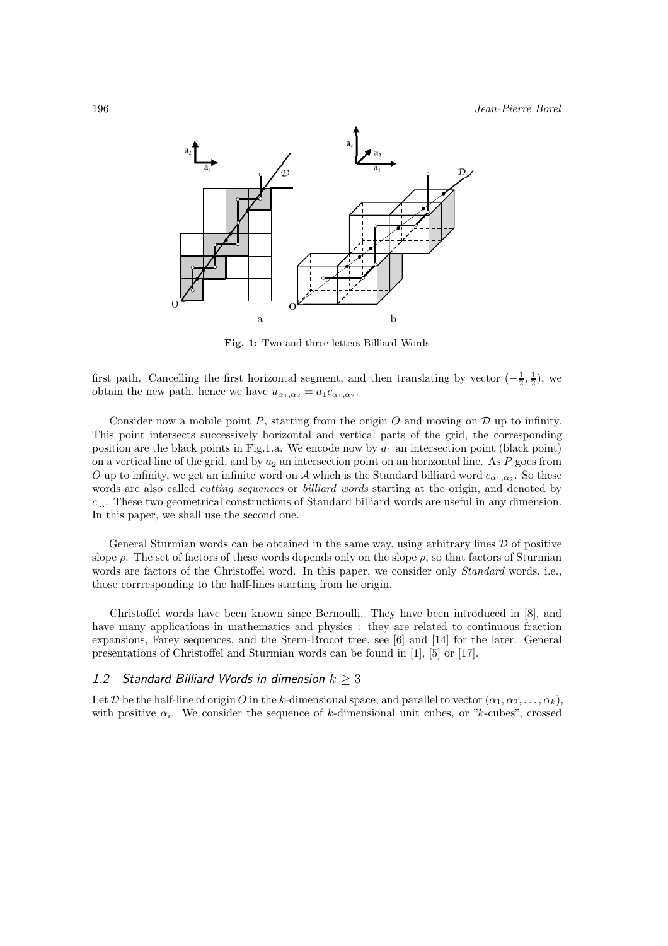

**Fig. 1:** Two and three-letters Billiard Words

first path. Cancelling the first horizontal segment, and then translating by vector  $\left(-\frac{1}{2},\frac{1}{2}\right)$ , we obtain the new path, hence we have  $u_{\alpha_1,\alpha_2} = a_1 c_{\alpha_1,\alpha_2}$ .

Consider now a mobile point  $P$ , starting from the origin  $O$  and moving on  $D$  up to infinity. This point intersects successively horizontal and vertical parts of the grid, the corresponding position are the black points in Fig.1.a. We encode now by  $a_1$  an intersection point (black point) on a vertical line of the grid, and by  $a_2$  an intersection point on an horizontal line. As P goes from O up to infinity, we get an infinite word on A which is the Standard billiard word  $c_{\alpha_1,\alpha_2}$ . So these words are also called *cutting sequences* or *billiard words* starting at the origin, and denoted by c.... These two geometrical constructions of Standard billiard words are useful in any dimension. In this paper, we shall use the second one.

General Sturmian words can be obtained in the same way, using arbitrary lines  $\mathcal D$  of positive slope  $\rho$ . The set of factors of these words depends only on the slope  $\rho$ , so that factors of Sturmian words are factors of the Christoffel word. In this paper, we consider only *Standard* words, i.e., those corrresponding to the half-lines starting from he origin.

Christoffel words have been known since Bernoulli. They have been introduced in [8], and have many applications in mathematics and physics : they are related to continuous fraction expansions, Farey sequences, and the Stern-Brocot tree, see [6] and [14] for the later. General presentations of Christoffel and Sturmian words can be found in [1], [5] or [17].

# 1.2 Standard Billiard Words in dimension  $k \geq 3$

Let D be the half-line of origin O in the k-dimensional space, and parallel to vector  $(\alpha_1, \alpha_2, \ldots, \alpha_k)$ , with positive  $\alpha_i$ . We consider the sequence of k-dimensional unit cubes, or "k-cubes", crossed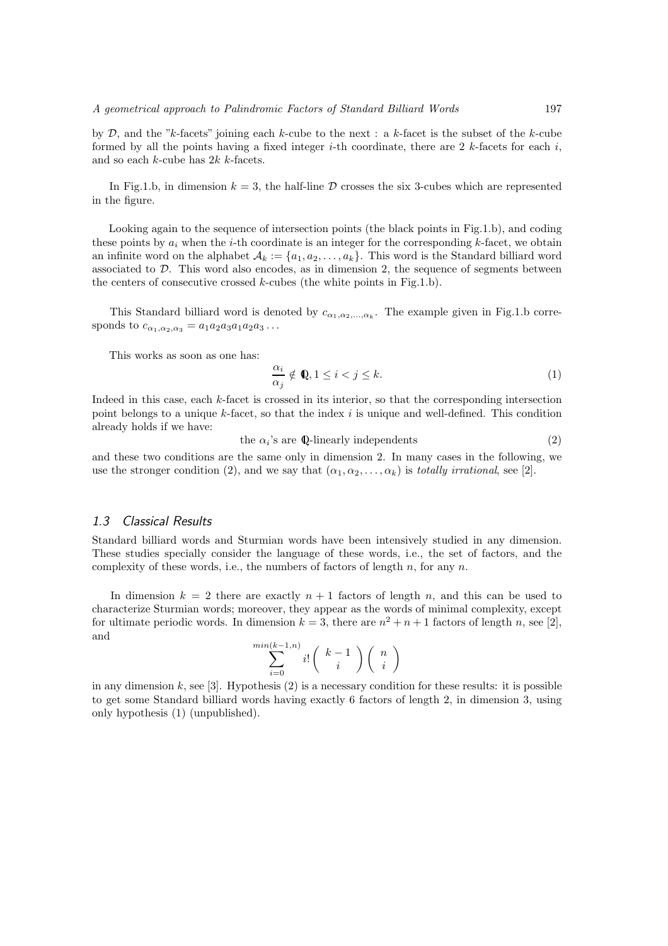by  $\mathcal{D}$ , and the "k-facets" joining each k-cube to the next : a k-facet is the subset of the k-cube formed by all the points having a fixed integer *i*-th coordinate, there are 2 k-facets for each i, and so each  $k$ -cube has  $2k$  k-facets.

In Fig.1.b, in dimension  $k = 3$ , the half-line D crosses the six 3-cubes which are represented in the figure.

Looking again to the sequence of intersection points (the black points in Fig.1.b), and coding these points by  $a_i$ , when the *i*-th coordinate is an integer for the corresponding k-facet, we obtain an infinite word on the alphabet  $\mathcal{A}_k := \{a_1, a_2, \ldots, a_k\}$ . This word is the Standard billiard word associated to  $D$ . This word also encodes, as in dimension 2, the sequence of segments between the centers of consecutive crossed  $k$ -cubes (the white points in Fig.1.b).

This Standard billiard word is denoted by  $c_{\alpha_1,\alpha_2,\dots,\alpha_k}$ . The example given in Fig.1.b corresponds to  $c_{\alpha_1,\alpha_2,\alpha_3} = a_1a_2a_3a_1a_2a_3\dots$ 

This works as soon as one has:

$$
\frac{\alpha_i}{\alpha_j} \notin \mathbb{Q}, 1 \le i < j \le k. \tag{1}
$$

Indeed in this case, each k-facet is crossed in its interior, so that the corresponding intersection point belongs to a unique  $k$ -facet, so that the index i is unique and well-defined. This condition already holds if we have:

the  $\alpha_i$ 's are Q-linearly independents (2)

and these two conditions are the same only in dimension 2. In many cases in the following, we use the stronger condition (2), and we say that  $(\alpha_1, \alpha_2, \ldots, \alpha_k)$  is *totally irrational*, see [2].

# *1.3 Classical Results*

Standard billiard words and Sturmian words have been intensively studied in any dimension. These studies specially consider the language of these words, i.e., the set of factors, and the complexity of these words, i.e., the numbers of factors of length n, for any  $n$ .

In dimension  $k = 2$  there are exactly  $n + 1$  factors of length n, and this can be used to characterize Sturmian words; moreover, they appear as the words of minimal complexity, except for ultimate periodic words. In dimension  $k = 3$ , there are  $n^2 + n + 1$  factors of length n, see [2], and

 $\boldsymbol{n}$ 

$$
\sum_{i=0}^{\min(k-1,n)} i! \binom{k-1}{i} \binom{n}{i}
$$

in any dimension  $k$ , see [3]. Hypothesis (2) is a necessary condition for these results: it is possible to get some Standard billiard words having exactly 6 factors of length 2, in dimension 3, using only hypothesis (1) (unpublished).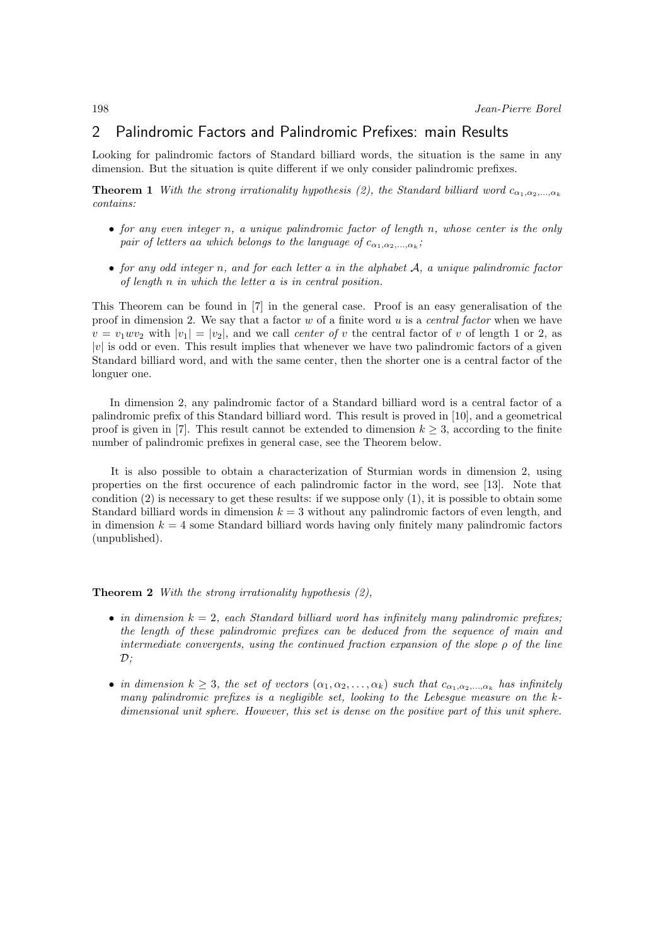# 2 Palindromic Factors and Palindromic Prefixes: main Results

Looking for palindromic factors of Standard billiard words, the situation is the same in any dimension. But the situation is quite different if we only consider palindromic prefixes.

**Theorem 1** *With the strong irrationality hypothesis (2), the Standard billiard word*  $c_{\alpha_1,\alpha_2,...,\alpha_k}$ *contains:*

- *for any even integer* n*, a unique palindromic factor of length* n*, whose center is the only pair of letters* aa *which belongs to the language of*  $c_{\alpha_1,\alpha_2,\dots,\alpha_k}$ ;
- *for any odd integer* n*, and for each letter* a *in the alphabet* A*, a unique palindromic factor of length* n *in which the letter* a *is in central position.*

This Theorem can be found in [7] in the general case. Proof is an easy generalisation of the proof in dimension 2. We say that a factor w of a finite word u is a *central factor* when we have  $v = v_1 w v_2$  with  $|v_1| = |v_2|$ , and we call *center of* v the central factor of v of length 1 or 2, as  $|v|$  is odd or even. This result implies that whenever we have two palindromic factors of a given Standard billiard word, and with the same center, then the shorter one is a central factor of the longuer one.

In dimension 2, any palindromic factor of a Standard billiard word is a central factor of a palindromic prefix of this Standard billiard word. This result is proved in [10], and a geometrical proof is given in [7]. This result cannot be extended to dimension  $k \geq 3$ , according to the finite number of palindromic prefixes in general case, see the Theorem below.

It is also possible to obtain a characterization of Sturmian words in dimension 2, using properties on the first occurence of each palindromic factor in the word, see [13]. Note that condition  $(2)$  is necessary to get these results: if we suppose only  $(1)$ , it is possible to obtain some Standard billiard words in dimension  $k = 3$  without any palindromic factors of even length, and in dimension  $k = 4$  some Standard billiard words having only finitely many palindromic factors (unpublished).

**Theorem 2** *With the strong irrationality hypothesis (2),*

- *in dimension*  $k = 2$ , each Standard billiard word has infinitely many palindromic prefixes; *the length of these palindromic prefixes can be deduced from the sequence of main and intermediate convergents, using the continued fraction expansion of the slope* ρ *of the line* D*;*
- *in dimension*  $k \geq 3$ *, the set of vectors*  $(\alpha_1, \alpha_2, \ldots, \alpha_k)$  *such that*  $c_{\alpha_1, \alpha_2, \ldots, \alpha_k}$  *has infinitely many palindromic prefixes is a negligible set, looking to the Lebesgue measure on the kdimensional unit sphere. However, this set is dense on the positive part of this unit sphere.*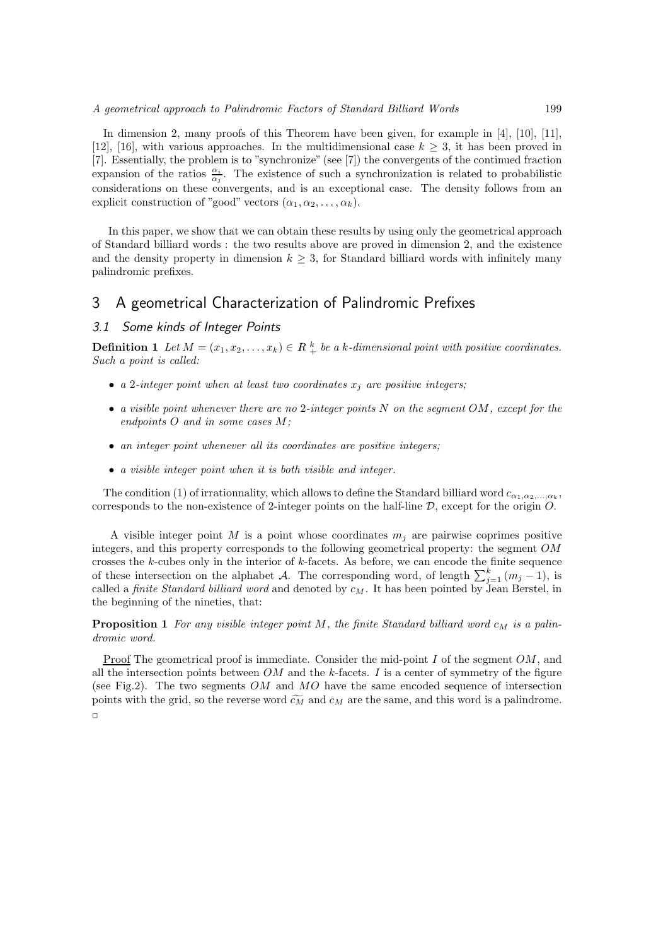In dimension 2, many proofs of this Theorem have been given, for example in [4], [10], [11], [12], [16], with various approaches. In the multidimensional case  $k \geq 3$ , it has been proved in [7]. Essentially, the problem is to "synchronize" (see [7]) the convergents of the continued fraction expansion of the ratios  $\frac{\alpha_i}{\alpha_j}$ . The existence of such a synchronization is related to probabilistic considerations on these convergents, and is an exceptional case. The density follows from an explicit construction of "good" vectors  $(\alpha_1, \alpha_2, \ldots, \alpha_k)$ .

In this paper, we show that we can obtain these results by using only the geometrical approach of Standard billiard words : the two results above are proved in dimension 2, and the existence and the density property in dimension  $k \geq 3$ , for Standard billiard words with infinitely many palindromic prefixes.

# 3 A geometrical Characterization of Palindromic Prefixes

# *3.1 Some kinds of Integer Points*

**Definition 1** *Let*  $M = (x_1, x_2, \ldots, x_k) \in R \frac{k}{+}$  *be a k-dimensional point with positive coordinates. Such a point is called:*

- $a$  2*-integer point when at least two coordinates*  $x_j$  *are positive integers;*
- *a visible point whenever there are no* 2*-integer points* N *on the segment* OM*, except for the endpoints* O *and in some cases* M*;*
- *an integer point whenever all its coordinates are positive integers;*
- *a visible integer point when it is both visible and integer.*

The condition (1) of irrationnality, which allows to define the Standard billiard word  $c_{\alpha_1,\alpha_2,...,\alpha_k}$ , corresponds to the non-existence of 2-integer points on the half-line  $D$ , except for the origin  $O$ .

A visible integer point  $M$  is a point whose coordinates  $m_j$  are pairwise coprimes positive integers, and this property corresponds to the following geometrical property: the segment OM crosses the  $k$ -cubes only in the interior of  $k$ -facets. As before, we can encode the finite sequence of these intersection on the alphabet A. The corresponding word, of length  $\sum_{j=1}^{k} (m_j - 1)$ , is called a *finite Standard billiard word* and denoted by  $c_M$ . It has been pointed by Jean Berstel, in the beginning of the nineties, that:

**Proposition 1** For any visible integer point M, the finite Standard billiard word  $c_M$  is a palin*dromic word.*

Proof The geometrical proof is immediate. Consider the mid-point I of the segment OM, and all the intersection points between  $OM$  and the k-facets. I is a center of symmetry of the figure (see Fig.2). The two segments OM and MO have the same encoded sequence of intersection points with the grid, so the reverse word  $\widetilde{c_M}$  and  $c_M$  are the same, and this word is a palindrome.  $\Box$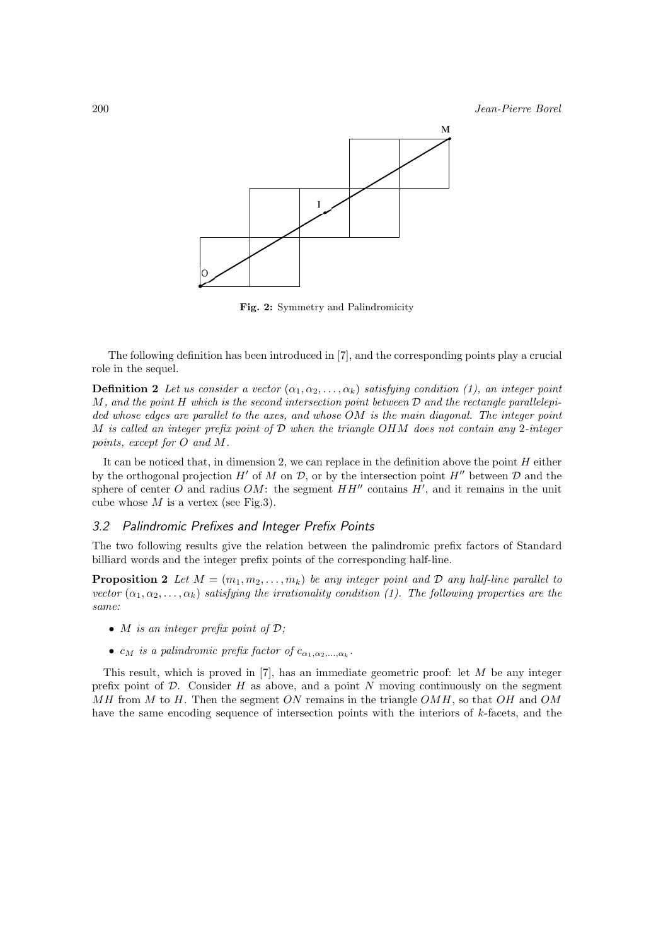

**Fig. 2:** Symmetry and Palindromicity

The following definition has been introduced in [7], and the corresponding points play a crucial role in the sequel.

**Definition 2** *Let us consider a vector*  $(\alpha_1, \alpha_2, \ldots, \alpha_k)$  *satisfying condition* (1), an integer point M*, and the point* H *which is the second intersection point between* D *and the rectangle parallelepided whose edges are parallel to the axes, and whose* OM *is the main diagonal. The integer point* M *is called an integer prefix point of* D *when the triangle* OHM *does not contain any* 2*-integer points, except for* O *and* M*.*

It can be noticed that, in dimension 2, we can replace in the definition above the point  $H$  either by the orthogonal projection  $H'$  of M on D, or by the intersection point  $H''$  between D and the sphere of center O and radius  $OM$ : the segment  $HH''$  contains  $H'$ , and it remains in the unit cube whose  $M$  is a vertex (see Fig.3).

#### *3.2 Palindromic Prefixes and Integer Prefix Points*

The two following results give the relation between the palindromic prefix factors of Standard billiard words and the integer prefix points of the corresponding half-line.

**Proposition 2** Let  $M = (m_1, m_2, \ldots, m_k)$  be any integer point and D any half-line parallel to *vector*  $(\alpha_1, \alpha_2, \ldots, \alpha_k)$  *satisfying the irrationality condition* (1). The following properties are the *same:*

- M *is an integer prefix point of* D*;*
- $c_M$  *is a palindromic prefix factor of*  $c_{\alpha_1,\alpha_2,\dots,\alpha_k}$ *.*

This result, which is proved in  $[7]$ , has an immediate geometric proof: let  $M$  be any integer prefix point of  $D$ . Consider  $H$  as above, and a point  $N$  moving continuously on the segment  $MH$  from M to H. Then the segment ON remains in the triangle OMH, so that OH and OM have the same encoding sequence of intersection points with the interiors of k-facets, and the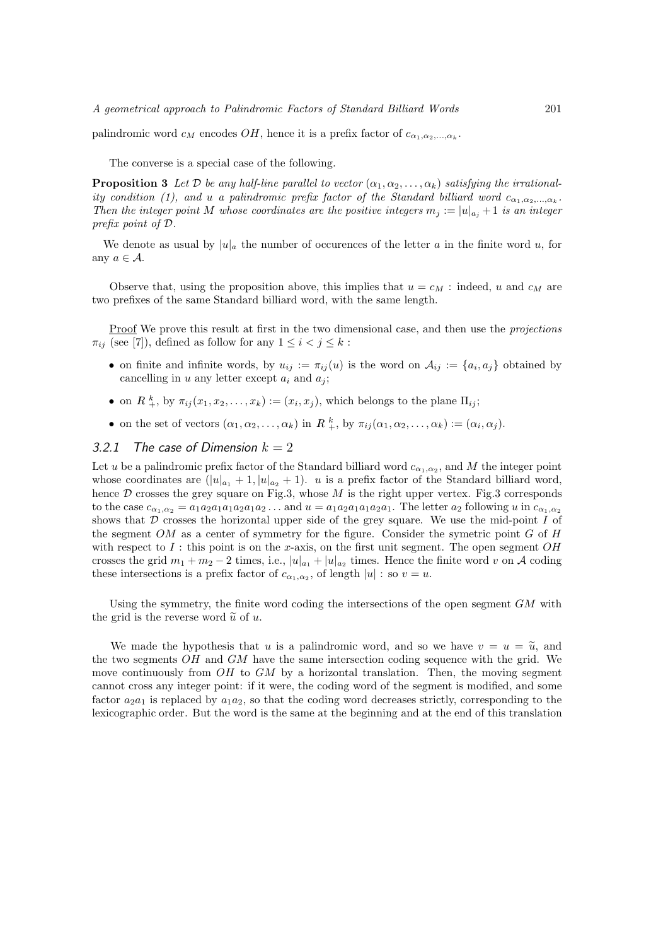palindromic word  $c_M$  encodes  $OH$ , hence it is a prefix factor of  $c_{\alpha_1,\alpha_2,\dots,\alpha_k}$ .

The converse is a special case of the following.

**Proposition 3** Let D be any half-line parallel to vector  $(\alpha_1, \alpha_2, \ldots, \alpha_k)$  satisfying the irrational*ity condition (1), and u a palindromic prefix factor of the Standard billiard word*  $c_{\alpha_1,\alpha_2,\dots,\alpha_k}$ . *Then the integer point* M whose coordinates are the positive integers  $m_j := |u|_{a_j} + 1$  is an integer *prefix point of* D*.*

We denote as usual by  $|u|_a$  the number of occurences of the letter a in the finite word u, for any  $a \in \mathcal{A}$ .

Observe that, using the proposition above, this implies that  $u = c_M$ : indeed, u and  $c_M$  are two prefixes of the same Standard billiard word, with the same length.

Proof We prove this result at first in the two dimensional case, and then use the *projections*  $\pi_{ij}$  (see [7]), defined as follow for any  $1 \leq i < j \leq k$ :

- on finite and infinite words, by  $u_{ij} := \pi_{ij}(u)$  is the word on  $\mathcal{A}_{ij} := \{a_i, a_j\}$  obtained by cancelling in u any letter except  $a_i$  and  $a_j$ ;
- on  $R_{+}^{k}$ , by  $\pi_{ij}(x_1, x_2, \ldots, x_k) := (x_i, x_j)$ , which belongs to the plane  $\Pi_{ij}$ ;
- on the set of vectors  $(\alpha_1, \alpha_2, \ldots, \alpha_k)$  in  $R^k_+$ , by  $\pi_{ij}(\alpha_1, \alpha_2, \ldots, \alpha_k) := (\alpha_i, \alpha_j)$ .

### 3.2.1 The case of Dimension  $k = 2$

Let u be a palindromic prefix factor of the Standard billiard word  $c_{\alpha_1,\alpha_2}$ , and M the integer point whose coordinates are  $(|u|_{a_1} + 1, |u|_{a_2} + 1)$ . *u* is a prefix factor of the Standard billiard word, hence  $D$  crosses the grey square on Fig.3, whose  $M$  is the right upper vertex. Fig.3 corresponds to the case  $c_{\alpha_1,\alpha_2} = a_1a_2a_1a_1a_2a_1a_2...$  and  $u = a_1a_2a_1a_1a_2a_1$ . The letter  $a_2$  following u in  $c_{\alpha_1,\alpha_2}$ shows that  $D$  crosses the horizontal upper side of the grey square. We use the mid-point  $I$  of the segment  $OM$  as a center of symmetry for the figure. Consider the symetric point  $G$  of  $H$ with respect to  $I$ : this point is on the x-axis, on the first unit segment. The open segment  $OH$ crosses the grid  $m_1 + m_2 - 2$  times, i.e.,  $|u|_{a_1} + |u|_{a_2}$  times. Hence the finite word v on A coding these intersections is a prefix factor of  $c_{\alpha_1,\alpha_2}$ , of length  $|u|$  : so  $v = u$ .

Using the symmetry, the finite word coding the intersections of the open segment  $GM$  with the grid is the reverse word  $\tilde{u}$  of u.

We made the hypothesis that u is a palindromic word, and so we have  $v = u = \tilde{u}$ , and the two segments OH and GM have the same intersection coding sequence with the grid. We move continuously from  $OH$  to  $GM$  by a horizontal translation. Then, the moving segment cannot cross any integer point: if it were, the coding word of the segment is modified, and some factor  $a_2a_1$  is replaced by  $a_1a_2$ , so that the coding word decreases strictly, corresponding to the lexicographic order. But the word is the same at the beginning and at the end of this translation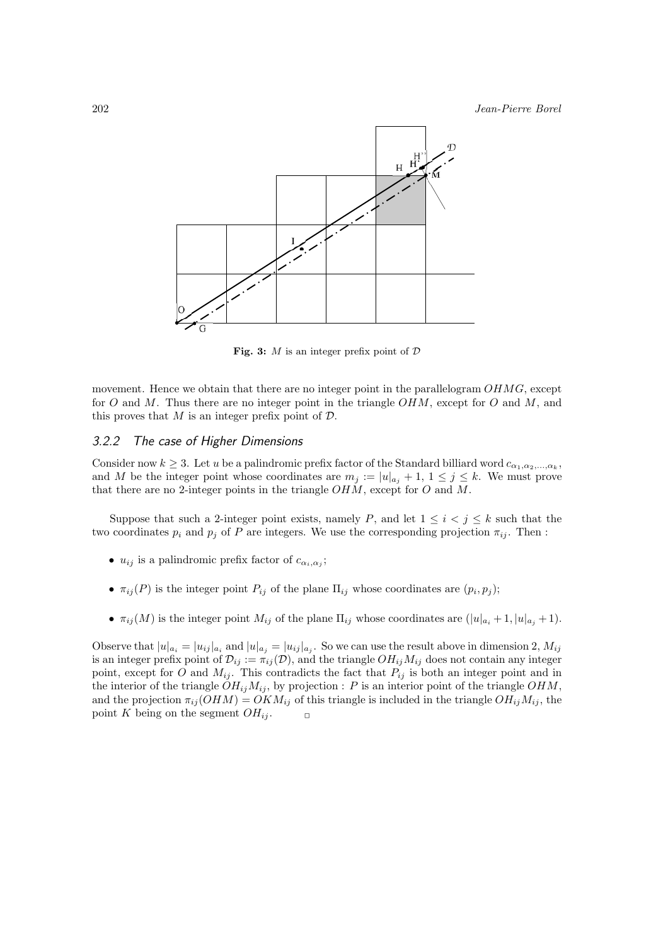

**Fig. 3:** *M* is an integer prefix point of *D*

movement. Hence we obtain that there are no integer point in the parallelogram  $OHMG$ , except for O and M. Thus there are no integer point in the triangle  $OHM$ , except for O and M, and this proves that  $M$  is an integer prefix point of  $\mathcal{D}$ .

# *3.2.2 The case of Higher Dimensions*

Consider now  $k \geq 3$ . Let u be a palindromic prefix factor of the Standard billiard word  $c_{\alpha_1,\alpha_2,...,\alpha_k}$ , and M be the integer point whose coordinates are  $m_j := |u|_{a_j} + 1, 1 \le j \le k$ . We must prove that there are no 2-integer points in the triangle  $OHM$ , except for O and M.

Suppose that such a 2-integer point exists, namely P, and let  $1 \leq i \leq j \leq k$  such that the two coordinates  $p_i$  and  $p_j$  of P are integers. We use the corresponding projection  $\pi_{ij}$ . Then :

- $u_{ij}$  is a palindromic prefix factor of  $c_{\alpha_i,\alpha_j}$ ;
- $\pi_{ij}(P)$  is the integer point  $P_{ij}$  of the plane  $\Pi_{ij}$  whose coordinates are  $(p_i, p_j)$ ;
- $\pi_{ij}(M)$  is the integer point  $M_{ij}$  of the plane  $\Pi_{ij}$  whose coordinates are  $(|u|_{a_i} + 1, |u|_{a_j} + 1)$ .

Observe that  $|u|_{a_i} = |u_{ij}|_{a_i}$  and  $|u|_{a_j} = |u_{ij}|_{a_j}$ . So we can use the result above in dimension 2,  $M_{ij}$ is an integer prefix point of  $\mathcal{D}_{ij} := \pi_{ij}(\mathcal{D})$ , and the triangle  $OH_{ij}M_{ij}$  does not contain any integer point, except for O and  $M_{ij}$ . This contradicts the fact that  $P_{ij}$  is both an integer point and in the interior of the triangle  $OH_{ij}M_{ij}$ , by projection : P is an interior point of the triangle  $OHM$ , and the projection  $\pi_{ij}(OHM) = OKM_{ij}$  of this triangle is included in the triangle  $OH_{ij}M_{ij}$ , the point K being on the segment  $OH_{ij}$ .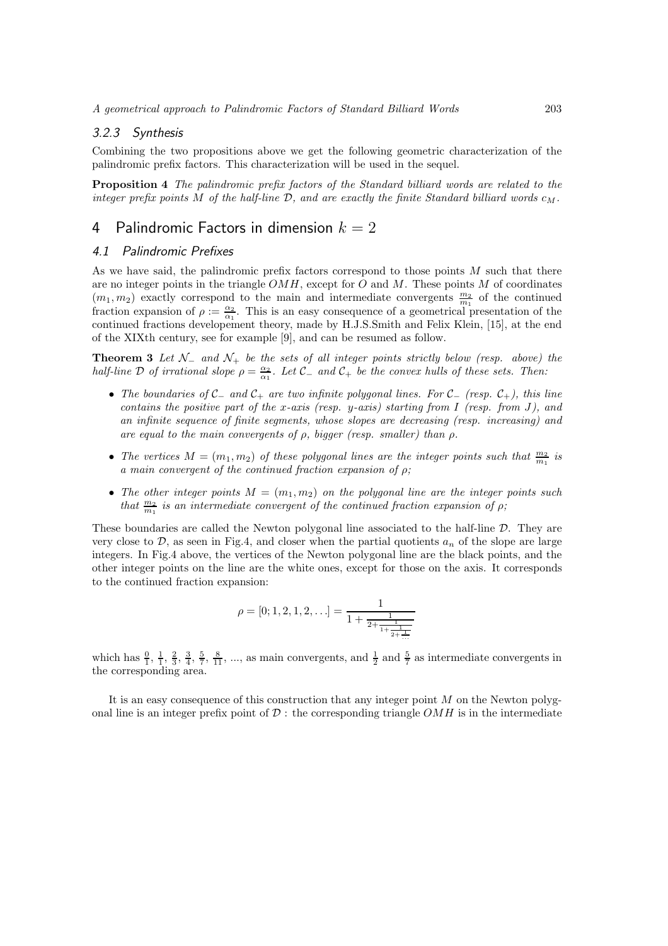#### *3.2.3 Synthesis*

Combining the two propositions above we get the following geometric characterization of the palindromic prefix factors. This characterization will be used in the sequel.

**Proposition 4** *The palindromic prefix factors of the Standard billiard words are related to the integer prefix points* M of the half-line  $\mathcal{D}$ , and are exactly the finite Standard billiard words  $c_M$ .

# 4 Palindromic Factors in dimension *k* = 2

# *4.1 Palindromic Prefixes*

As we have said, the palindromic prefix factors correspond to those points  $M$  such that there are no integer points in the triangle  $OMH$ , except for  $O$  and  $M$ . These points  $M$  of coordinates  $(m_1, m_2)$  exactly correspond to the main and intermediate convergents  $\frac{m_2}{m_1}$  of the continued fraction expansion of  $\rho := \frac{\alpha_2}{\alpha_1}$ . This is an easy consequence of a geometrical presentation of the continued fractions developement theory, made by H.J.S.Smith and Felix Klein, [15], at the end of the XIXth century, see for example [9], and can be resumed as follow.

**Theorem 3** *Let* N<sup>−</sup> *and* N<sup>+</sup> *be the sets of all integer points strictly below (resp. above) the half-line*  $\mathcal D$  *of irrational slope*  $\rho = \frac{\alpha_2}{\alpha_1}$ *. Let*  $\mathcal C_-\$  *and*  $\mathcal C_+$  *be the convex hulls of these sets. Then:* 

- *The boundaries of* C<sup>−</sup> *and* C<sup>+</sup> *are two infinite polygonal lines. For* C<sup>−</sup> *(resp.* C+*), this line contains the positive part of the* x*-axis (resp.* y*-axis) starting from* I *(resp. from* J*), and an infinite sequence of finite segments, whose slopes are decreasing (resp. increasing) and are equal to the main convergents of* ρ*, bigger (resp. smaller) than* ρ*.*
- The vertices  $M = (m_1, m_2)$  of these polygonal lines are the integer points such that  $\frac{m_2}{m_1}$  is *a main convergent of the continued fraction expansion of* ρ*;*
- The other integer points  $M = (m_1, m_2)$  on the polygonal line are the integer points such *that*  $\frac{m_2}{m_1}$  *is an intermediate convergent of the continued fraction expansion of*  $\rho$ ;

These boundaries are called the Newton polygonal line associated to the half-line  $D$ . They are very close to  $\mathcal{D}$ , as seen in Fig.4, and closer when the partial quotients  $a_n$  of the slope are large integers. In Fig.4 above, the vertices of the Newton polygonal line are the black points, and the other integer points on the line are the white ones, except for those on the axis. It corresponds to the continued fraction expansion:

$$
\rho = [0; 1, 2, 1, 2, \ldots] = \frac{1}{1 + \frac{1}{2 + \frac{1}{1 + \frac{1}{2 + \frac{1}{\ldots}}}}}
$$

which has  $\frac{0}{1}$ ,  $\frac{1}{1}$ ,  $\frac{2}{3}$ ,  $\frac{3}{4}$ ,  $\frac{5}{7}$ ,  $\frac{8}{11}$ , ..., as main convergents, and  $\frac{1}{2}$  and  $\frac{5}{7}$  as intermediate convergents in the corresponding area.

It is an easy consequence of this construction that any integer point  $M$  on the Newton polygonal line is an integer prefix point of  $\mathcal D$  : the corresponding triangle  $OMH$  is in the intermediate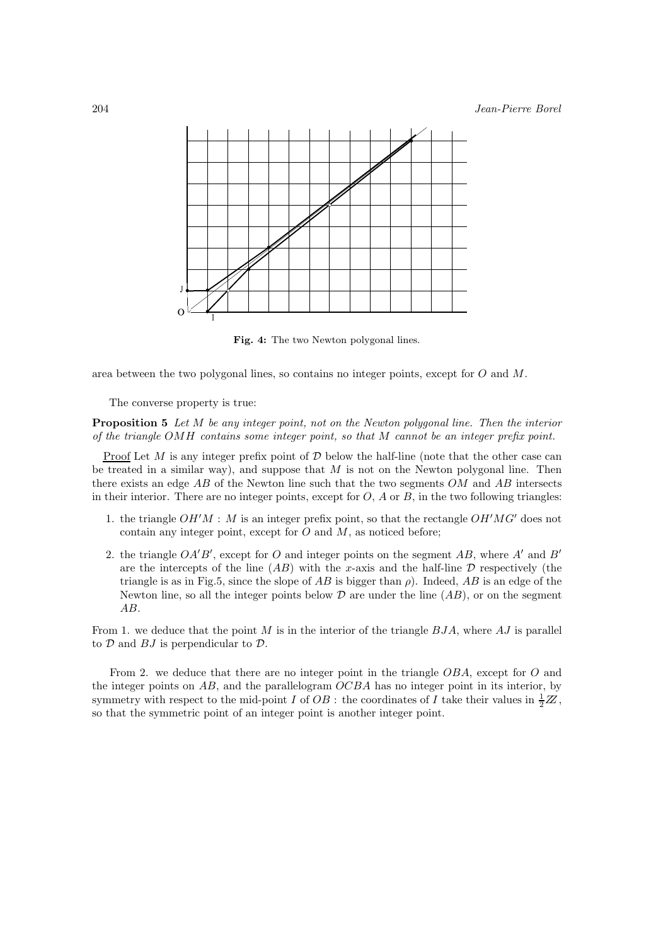

**Fig. 4:** The two Newton polygonal lines.

area between the two polygonal lines, so contains no integer points, except for O and M.

The converse property is true:

**Proposition 5** *Let* M *be any integer point, not on the Newton polygonal line. Then the interior of the triangle* OMH *contains some integer point, so that* M *cannot be an integer prefix point.*

<u>Proof</u> Let M is any integer prefix point of  $D$  below the half-line (note that the other case can be treated in a similar way), and suppose that  $M$  is not on the Newton polygonal line. Then there exists an edge  $AB$  of the Newton line such that the two segments  $OM$  and  $AB$  intersects in their interior. There are no integer points, except for  $O$ ,  $\tilde{A}$  or  $\tilde{B}$ , in the two following triangles:

- 1. the triangle  $OH'M$ : M is an integer prefix point, so that the rectangle  $OH'MG'$  does not contain any integer point, except for  $O$  and  $M$ , as noticed before;
- 2. the triangle  $OA'B'$ , except for O and integer points on the segment AB, where A' and B' are the intercepts of the line  $(AB)$  with the x-axis and the half-line D respectively (the triangle is as in Fig.5, since the slope of AB is bigger than  $\rho$ ). Indeed, AB is an edge of the Newton line, so all the integer points below  $\mathcal D$  are under the line  $(AB)$ , or on the segment AB.

From 1. we deduce that the point  $M$  is in the interior of the triangle  $BJA$ , where  $AJ$  is parallel to  $D$  and  $BJ$  is perpendicular to  $D$ .

From 2. we deduce that there are no integer point in the triangle OBA, except for O and the integer points on  $AB$ , and the parallelogram  $OCBA$  has no integer point in its interior, by symmetry with respect to the mid-point I of  $OB$ : the coordinates of I take their values in  $\frac{1}{2}\mathbb{Z}$ , so that the symmetric point of an integer point is another integer point.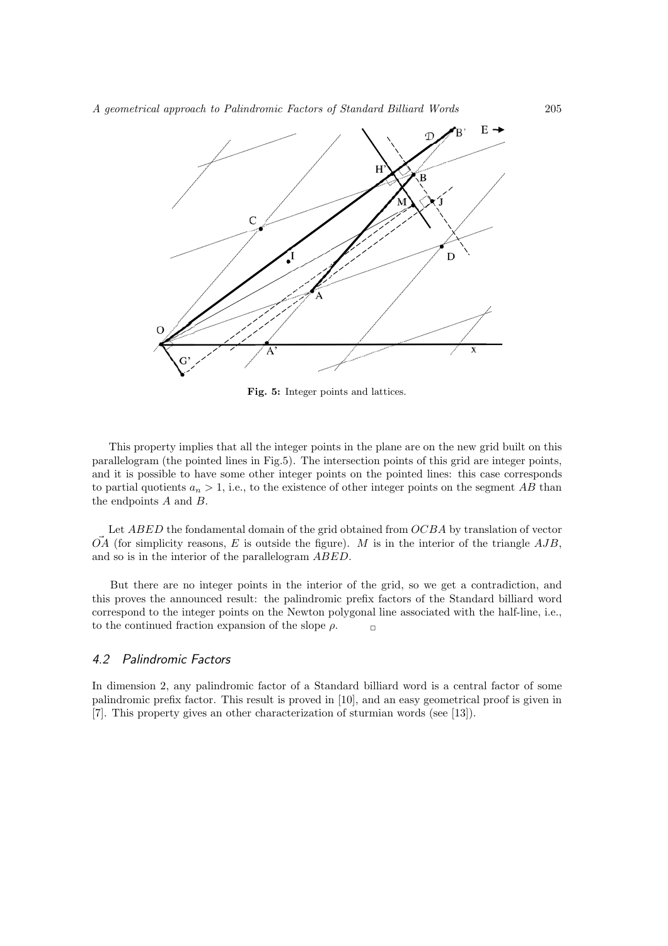

**Fig. 5:** Integer points and lattices.

This property implies that all the integer points in the plane are on the new grid built on this parallelogram (the pointed lines in Fig.5). The intersection points of this grid are integer points, and it is possible to have some other integer points on the pointed lines: this case corresponds to partial quotients  $a_n > 1$ , i.e., to the existence of other integer points on the segment AB than the endpoints A and B.

Let ABED the fondamental domain of the grid obtained from OCBA by translation of vector  $\overrightarrow{OA}$  (for simplicity reasons, E is outside the figure). M is in the interior of the triangle  $AJB$ , and so is in the interior of the parallelogram ABED.

But there are no integer points in the interior of the grid, so we get a contradiction, and this proves the announced result: the palindromic prefix factors of the Standard billiard word correspond to the integer points on the Newton polygonal line associated with the half-line, i.e., to the continued fraction expansion of the slope  $\rho$ .

# *4.2 Palindromic Factors*

In dimension 2, any palindromic factor of a Standard billiard word is a central factor of some palindromic prefix factor. This result is proved in [10], and an easy geometrical proof is given in [7]. This property gives an other characterization of sturmian words (see [13]).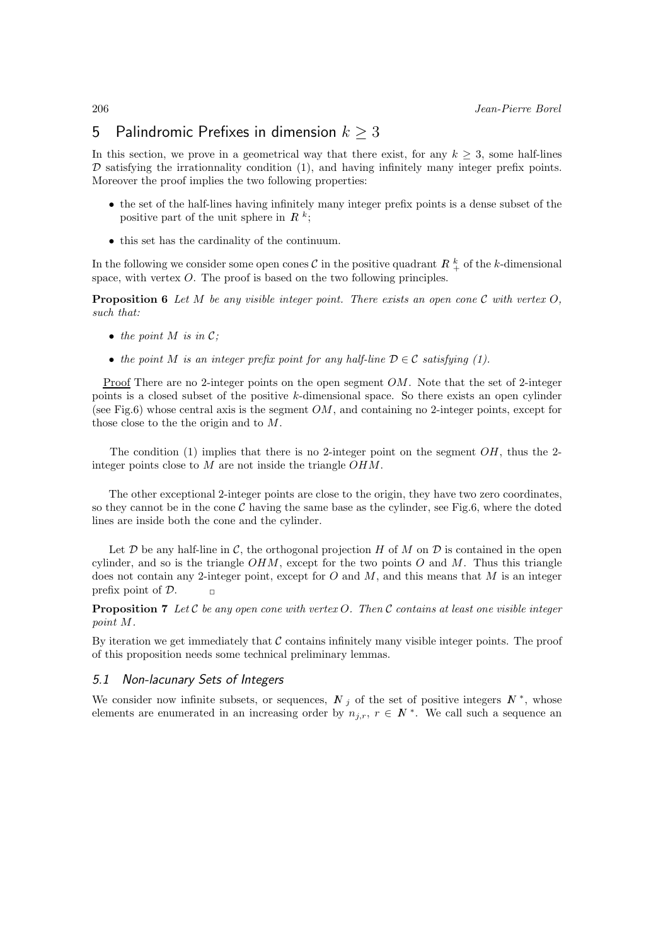# 5 Palindromic Prefixes in dimension  $k \geq 3$

In this section, we prove in a geometrical way that there exist, for any  $k \geq 3$ , some half-lines  $D$  satisfying the irrationnality condition (1), and having infinitely many integer prefix points. Moreover the proof implies the two following properties:

- the set of the half-lines having infinitely many integer prefix points is a dense subset of the positive part of the unit sphere in  $R^k$ ;
- this set has the cardinality of the continuum.

In the following we consider some open cones  $\mathcal C$  in the positive quadrant  $R^k$  of the k-dimensional space, with vertex O. The proof is based on the two following principles.

**Proposition 6** *Let* M *be any visible integer point. There exists an open cone* C *with vertex* O*, such that:*

- *the point*  $M$  *is in C*;
- the point M is an integer prefix point for any half-line  $D \in \mathcal{C}$  satisfying (1).

Proof There are no 2-integer points on the open segment OM. Note that the set of 2-integer points is a closed subset of the positive k-dimensional space. So there exists an open cylinder (see Fig.6) whose central axis is the segment  $OM$ , and containing no 2-integer points, except for those close to the the origin and to M.

The condition (1) implies that there is no 2-integer point on the segment  $OH$ , thus the 2integer points close to M are not inside the triangle OHM.

The other exceptional 2-integer points are close to the origin, they have two zero coordinates, so they cannot be in the cone  $\mathcal C$  having the same base as the cylinder, see Fig.6, where the doted lines are inside both the cone and the cylinder.

Let  $\mathcal D$  be any half-line in  $\mathcal C$ , the orthogonal projection H of M on  $\mathcal D$  is contained in the open cylinder, and so is the triangle  $OHM$ , except for the two points O and M. Thus this triangle does not contain any 2-integer point, except for  $O$  and  $M$ , and this means that  $M$  is an integer prefix point of  $\mathcal{D}$ .  $\Box$ 

**Proposition 7** *Let* C *be any open cone with vertex* O*. Then* C *contains at least one visible integer point* M*.*

By iteration we get immediately that  $C$  contains infinitely many visible integer points. The proof of this proposition needs some technical preliminary lemmas.

#### *5.1 Non-lacunary Sets of Integers*

We consider now infinite subsets, or sequences,  $N_j$  of the set of positive integers  $N^*$ , whose elements are enumerated in an increasing order by  $n_{j,r}$ ,  $r \in N^*$ . We call such a sequence an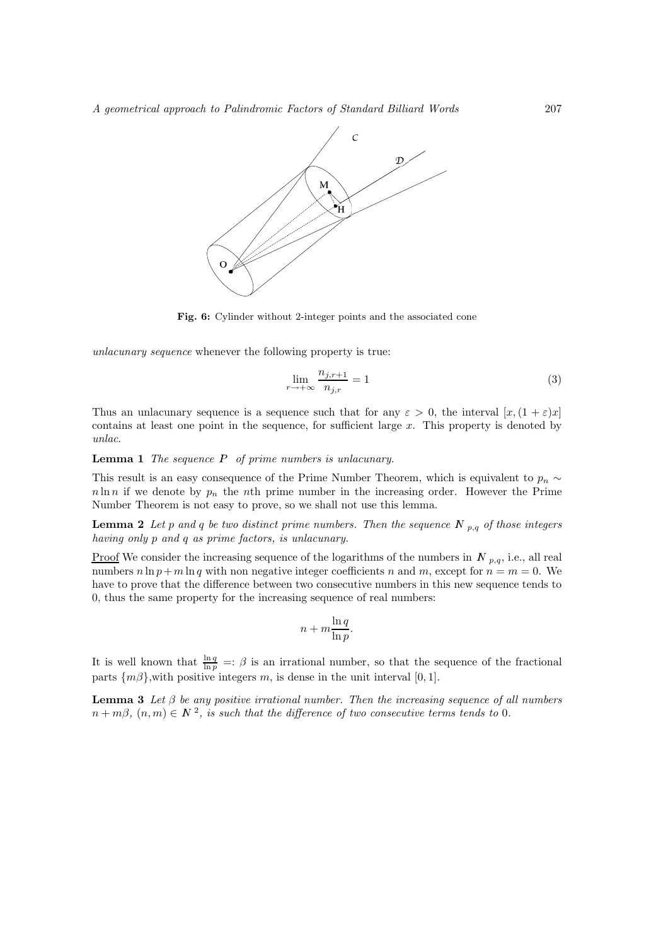

**Fig. 6:** Cylinder without 2-integer points and the associated cone

*unlacunary sequence* whenever the following property is true:

$$
\lim_{r \to +\infty} \frac{n_{j,r+1}}{n_{j,r}} = 1\tag{3}
$$

Thus an unlacunary sequence is a sequence such that for any  $\varepsilon > 0$ , the interval  $[x,(1+\varepsilon)x]$ contains at least one point in the sequence, for sufficient large x. This property is denoted by *unlac*.

### **Lemma 1** *The sequence*  $P$  *of prime numbers is unlacunary.*

This result is an easy consequence of the Prime Number Theorem, which is equivalent to  $p_n \sim$  $n \ln n$  if we denote by  $p_n$  the nth prime number in the increasing order. However the Prime Number Theorem is not easy to prove, so we shall not use this lemma.

**Lemma 2** Let p and q be two distinct prime numbers. Then the sequence  $N_{p,q}$  of those integers *having only* p *and* q *as prime factors, is unlacunary.*

<u>Proof</u> We consider the increasing sequence of the logarithms of the numbers in  $N_{p,q}$ , i.e., all real numbers  $n \ln p + m \ln q$  with non negative integer coefficients n and m, except for  $n = m = 0$ . We have to prove that the difference between two consecutive numbers in this new sequence tends to 0, thus the same property for the increasing sequence of real numbers:

$$
n + m \frac{\ln q}{\ln p}.
$$

It is well known that  $\frac{\ln q}{\ln p}$  =:  $\beta$  is an irrational number, so that the sequence of the fractional parts  $\{m\beta\}$ , with positive integers m, is dense in the unit interval [0, 1].

**Lemma 3** Let  $\beta$  be any positive irrational number. Then the increasing sequence of all numbers  $n + m\beta$ ,  $(n, m) \in \mathbb{N}^2$ , is such that the difference of two consecutive terms tends to 0.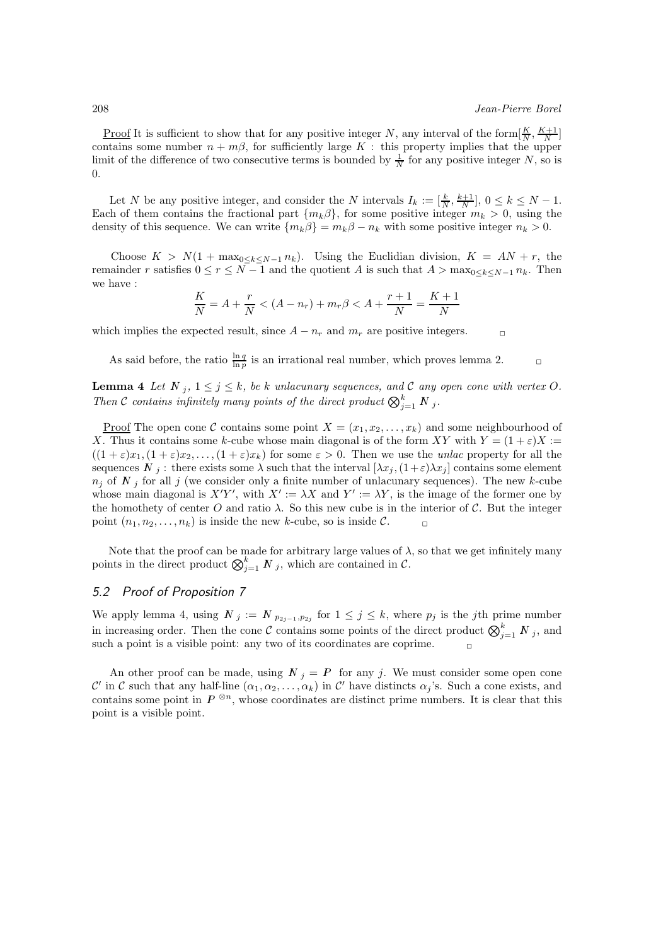<u>Proof</u> It is sufficient to show that for any positive integer N, any interval of the form  $\left[\frac{K}{N}, \frac{K+1}{N}\right]$ contains some number  $n + m\beta$ , for sufficiently large K : this property implies that the upper limit of the difference of two consecutive terms is bounded by  $\frac{1}{N}$  for any positive integer N, so is 0.

Let N be any positive integer, and consider the N intervals  $I_k := [\frac{k}{N}, \frac{k+1}{N}], 0 \leq k \leq N-1.$ Each of them contains the fractional part  $\{m_k\beta\}$ , for some positive integer  $m_k > 0$ , using the density of this sequence. We can write  $\{m_k\beta\} = m_k\beta - n_k$  with some positive integer  $n_k > 0$ .

Choose  $K > N(1 + \max_{0 \le k \le N-1} n_k)$ . Using the Euclidian division,  $K = AN + r$ , the remainder r satisfies  $0 \le r \le N-1$  and the quotient A is such that  $A > \max_{0 \le k \le N-1} n_k$ . Then we have :

$$
\frac{K}{N} = A + \frac{r}{N} < (A - n_r) + m_r \beta < A + \frac{r+1}{N} = \frac{K+1}{N}
$$

which implies the expected result, since  $A - n_r$  and  $m_r$  are positive integers.

As said before, the ratio  $\frac{\ln q}{\ln p}$  is an irrational real number, which proves lemma 2.

**Lemma 4** Let  $N_j$ ,  $1 \leq j \leq k$ , be k unlacunary sequences, and C any open cone with vertex O. Then C contains infinitely many points of the direct product  $\bigotimes_{j=1}^k N_j$ .

<u>Proof</u> The open cone C contains some point  $X = (x_1, x_2, \ldots, x_k)$  and some neighbourhood of X. Thus it contains some k-cube whose main diagonal is of the form XY with  $Y = (1 + \varepsilon)X :=$  $((1+\varepsilon)x_1,(1+\varepsilon)x_2,\ldots,(1+\varepsilon)x_k)$  for some  $\varepsilon > 0$ . Then we use the *unlac* property for all the sequences  $N_j$ : there exists some  $\lambda$  such that the interval  $[\lambda x_j, (1+\varepsilon)\lambda x_j]$  contains some element  $n_j$  of N<sub>i</sub> for all j (we consider only a finite number of unlacunary sequences). The new k-cube whose main diagonal is  $X'Y'$ , with  $X' := \lambda X$  and  $Y' := \lambda Y$ , is the image of the former one by the homothety of center O and ratio  $\lambda$ . So this new cube is in the interior of C. But the integer point  $(n_1, n_2, \ldots, n_k)$  is inside the new k-cube, so is inside C.

Note that the proof can be made for arbitrary large values of  $\lambda$ , so that we get infinitely many points in the direct product  $\bigotimes_{j=1}^k N_j$ , which are contained in  $\mathcal{C}$ .

# *5.2 Proof of Proposition 7*

We apply lemma 4, using  $N_j := N_{p_{2j-1},p_{2j}}$  for  $1 \leq j \leq k$ , where  $p_j$  is the j<sup>th</sup> prime number in increasing order. Then the cone C contains some points of the direct product  $\bigotimes_{j=1}^k N_j$ , and such a point is a visible point: any two of its coordinates are coprime.

An other proof can be made, using  $N_i = P$  for any j. We must consider some open cone C' in C such that any half-line  $(\alpha_1, \alpha_2, \ldots, \alpha_k)$  in C' have distincts  $\alpha_j$ 's. Such a cone exists, and contains some point in  $P^{\otimes n}$ , whose coordinates are distinct prime numbers. It is clear that this point is a visible point.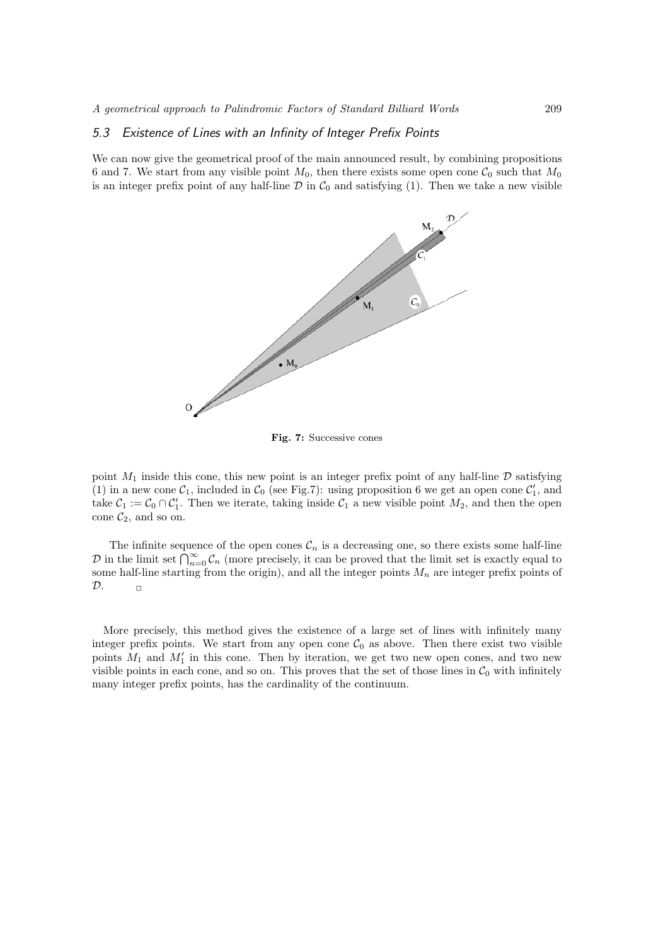### *5.3 Existence of Lines with an Infinity of Integer Prefix Points*

We can now give the geometrical proof of the main announced result, by combining propositions 6 and 7. We start from any visible point  $M_0$ , then there exists some open cone  $C_0$  such that  $M_0$ is an integer prefix point of any half-line  $\mathcal D$  in  $\mathcal C_0$  and satisfying (1). Then we take a new visible



**Fig. 7:** Successive cones

point  $M_1$  inside this cone, this new point is an integer prefix point of any half-line  $\mathcal D$  satisfying (1) in a new cone  $C_1$ , included in  $C_0$  (see Fig.7): using proposition 6 we get an open cone  $C_1'$ , and take  $C_1 := C_0 \cap C_1'$ . Then we iterate, taking inside  $C_1$  a new visible point  $M_2$ , and then the open cone  $\mathcal{C}_2$ , and so on.

The infinite sequence of the open cones  $\mathcal{C}_n$  is a decreasing one, so there exists some half-line D in the limit set  $\bigcap_{n=0}^{\infty} \mathcal{C}_n$  (more precisely, it can be proved that the limit set is exactly equal to some half-line starting from the origin), and all the integer points  $M_n$  are integer prefix points of  $\mathcal{D}$ .  $\Box$ 

More precisely, this method gives the existence of a large set of lines with infinitely many integer prefix points. We start from any open cone  $C_0$  as above. Then there exist two visible points  $M_1$  and  $M'_1$  in this cone. Then by iteration, we get two new open cones, and two new visible points in each cone, and so on. This proves that the set of those lines in  $C_0$  with infinitely many integer prefix points, has the cardinality of the continuum.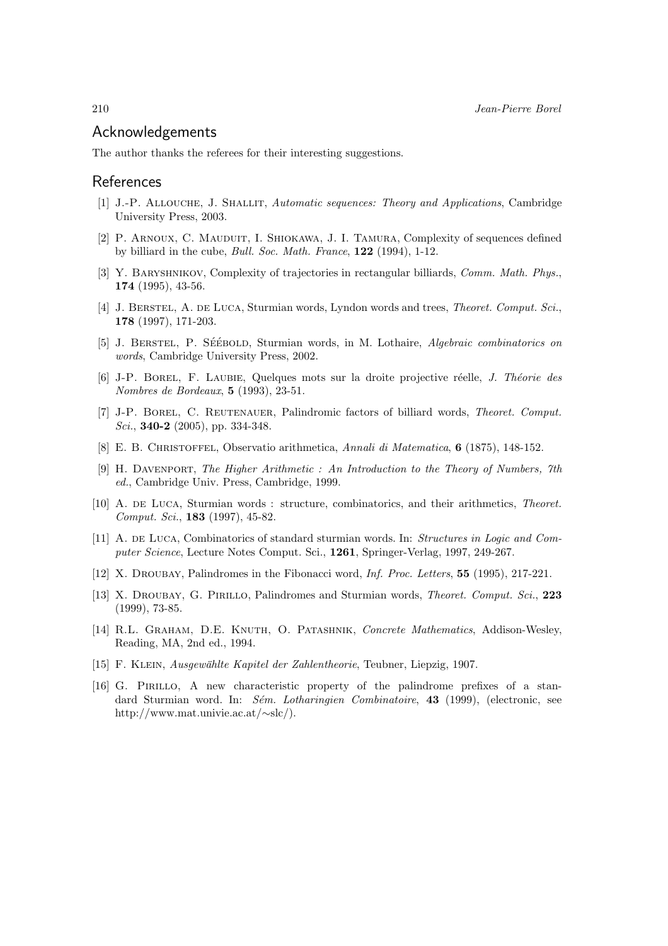# Acknowledgements

The author thanks the referees for their interesting suggestions.

# References

- [1] J.-P. Allouche, J. Shallit, *Automatic sequences: Theory and Applications*, Cambridge University Press, 2003.
- [2] P. Arnoux, C. Mauduit, I. Shiokawa, J. I. Tamura, Complexity of sequences defined by billiard in the cube, *Bull. Soc. Math. France*, **122** (1994), 1-12.
- [3] Y. Baryshnikov, Complexity of trajectories in rectangular billiards, *Comm. Math. Phys.*, **174** (1995), 43-56.
- [4] J. Berstel, A. de Luca, Sturmian words, Lyndon words and trees, *Theoret. Comput. Sci.*, **178** (1997), 171-203.
- [5] J. BERSTEL, P. SÉÉBOLD, Sturmian words, in M. Lothaire, *Algebraic combinatorics on words*, Cambridge University Press, 2002.
- [6] J-P. Borel, F. Laubie, Quelques mots sur la droite projective r´eelle, *J. Th´eorie des Nombres de Bordeaux*, **5** (1993), 23-51.
- [7] J-P. Borel, C. Reutenauer, Palindromic factors of billiard words, *Theoret. Comput. Sci.*, **340-2** (2005), pp. 334-348.
- [8] E. B. Christoffel, Observatio arithmetica, *Annali di Matematica*, **6** (1875), 148-152.
- [9] H. Davenport, *The Higher Arithmetic : An Introduction to the Theory of Numbers, 7th ed.*, Cambridge Univ. Press, Cambridge, 1999.
- [10] A. de Luca, Sturmian words : structure, combinatorics, and their arithmetics, *Theoret. Comput. Sci.*, **183** (1997), 45-82.
- [11] A. DE LUCA, Combinatorics of standard sturmian words. In: *Structures in Logic and Computer Science*, Lecture Notes Comput. Sci., **1261**, Springer-Verlag, 1997, 249-267.
- [12] X. Droubay, Palindromes in the Fibonacci word, *Inf. Proc. Letters*, **55** (1995), 217-221.
- [13] X. Droubay, G. Pirillo, Palindromes and Sturmian words, *Theoret. Comput. Sci.*, **223** (1999), 73-85.
- [14] R.L. Graham, D.E. Knuth, O. Patashnik, *Concrete Mathematics*, Addison-Wesley, Reading, MA, 2nd ed., 1994.
- [15] F. Klein, *Ausgew¨ahlte Kapitel der Zahlentheorie*, Teubner, Liepzig, 1907.
- [16] G. Pirillo, A new characteristic property of the palindrome prefixes of a standard Sturmian word. In: *S´em. Lotharingien Combinatoire*, **43** (1999), (electronic, see http://www.mat.univie.ac.at/∼slc/).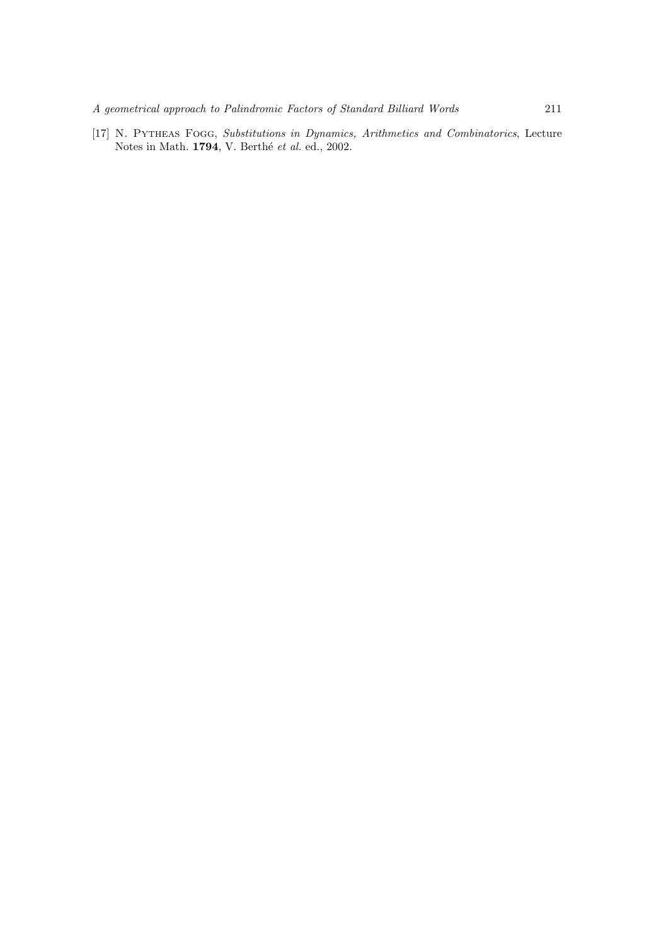[17] N. Pytheas Fogg, *Substitutions in Dynamics, Arithmetics and Combinatorics*, Lecture Notes in Math. **1794**, V. Berthé *et al.* ed., 2002.